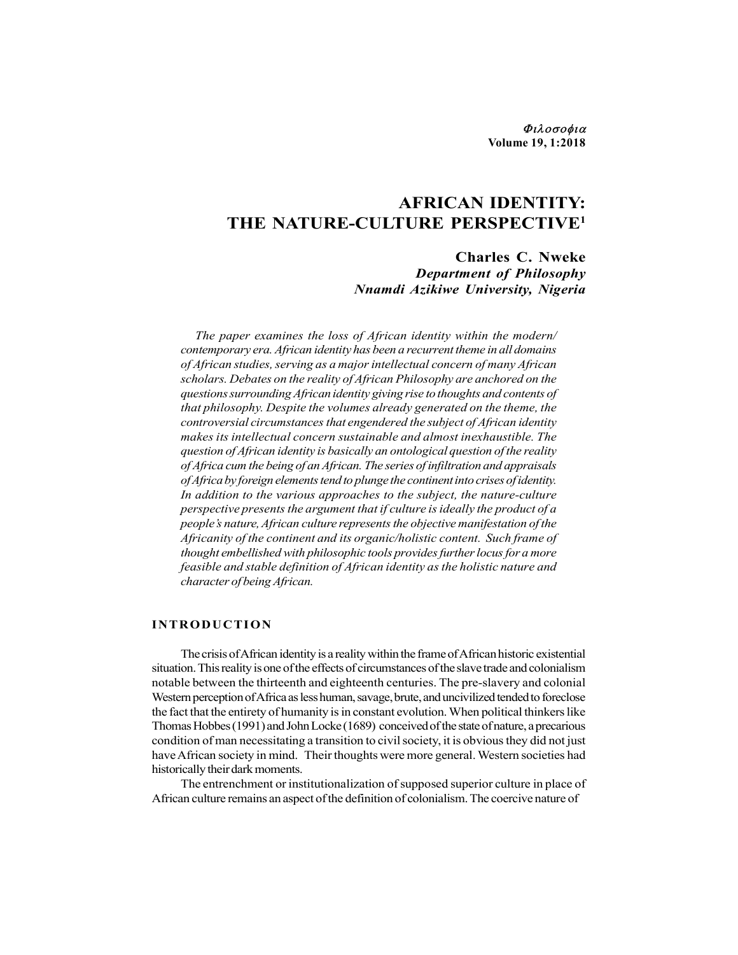Φιλοσοφια Volume 19, 1:2018

# AFRICAN IDENTITY: THE NATURE-CULTURE PERSPECTIVE1

Charles C. Nweke Department of Philosophy Nnamdi Azikiwe University, Nigeria

The paper examines the loss of African identity within the modern/ contemporary era. African identity has been a recurrent theme in all domains of African studies, serving as a major intellectual concern of many African scholars. Debates on the reality of African Philosophy are anchored on the questions surrounding African identity giving rise to thoughts and contents of that philosophy. Despite the volumes already generated on the theme, the controversial circumstances that engendered the subject of African identity makes its intellectual concern sustainable and almost inexhaustible. The question of African identity is basically an ontological question of the reality of Africa cum the being of an African. The series of infiltration and appraisals of Africa by foreign elements tend to plunge the continent into crises of identity. In addition to the various approaches to the subject, the nature-culture perspective presents the argument that if culture is ideally the product of a people's nature, African culture represents the objective manifestation of the Africanity of the continent and its organic/holistic content. Such frame of thought embellished with philosophic tools provides further locus for a more feasible and stable definition of African identity as the holistic nature and character of being African. The paper examines the loss of African identity within the modern/<br>contemporary era. African identity has been a recurrent theme in all domains<br>of African studies, serving as a major intellectual concern of many African<br>s

The crisis of African identity is a reality within the frame of African historic existential situation. This reality is one of the effects of circumstances of the slave trade and colonialism notable between the thirteenth and eighteenth centuries. The pre-slavery and colonial Western perception of Africa as less human, savage, brute, and uncivilized tended to foreclose the fact that the entirety of humanity is in constant evolution. When political thinkers like Thomas Hobbes (1991) and John Locke (1689) conceived of the state of nature, a precarious condition of man necessitating a transition to civil society, it is obvious they did not just have African society in mind. Their thoughts were more general. Western societies had historically their dark moments.

The entrenchment or institutionalization of supposed superior culture in place of African culture remains an aspect of the definition of colonialism. The coercive nature of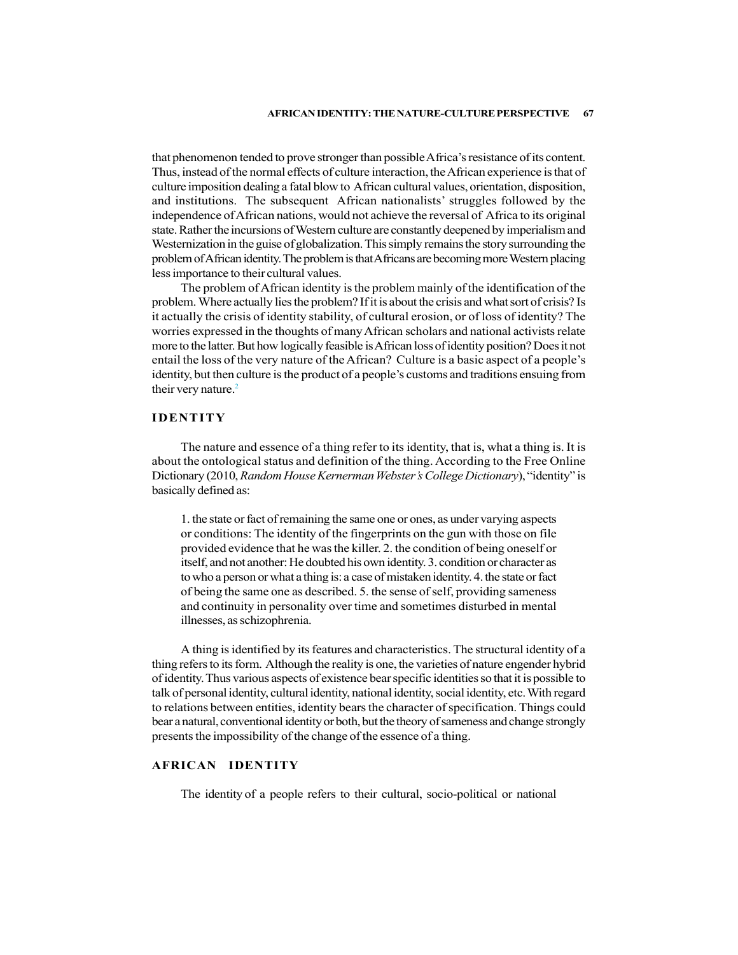that phenomenon tended to prove stronger than possible Africa's resistance of its content. Thus, instead of the normal effects of culture interaction, the African experience is that of culture imposition dealing a fatal blow to African cultural values, orientation, disposition, and institutions. The subsequent African nationalists' struggles followed by the independence of African nations, would not achieve the reversal of Africa to its original state. Rather the incursions of Western culture are constantly deepened by imperialism and Westernization in the guise of globalization. This simply remains the story surrounding the problem of African identity. The problem is that Africans are becoming more Western placing less importance to their cultural values.

The problem of African identity is the problem mainly of the identification of the problem. Where actually lies the problem? If it is about the crisis and what sort of crisis? Is it actually the crisis of identity stability, of cultural erosion, or of loss of identity? The worries expressed in the thoughts of many African scholars and national activists relate more to the latter. But how logically feasible is African loss of identity position? Does it not entail the loss of the very nature of the African? Culture is a basic aspect of a people's identity, but then culture is the product of a people's customs and traditions ensuing from their very nature.<sup>2</sup>

# IDENTITY

The nature and essence of a thing refer to its identity, that is, what a thing is. It is about the ontological status and definition of the thing. According to the Free Online Dictionary (2010, Random House Kernerman Webster's College Dictionary), "identity" is basically defined as:

1. the state or fact of remaining the same one or ones, as under varying aspects or conditions: The identity of the fingerprints on the gun with those on file provided evidence that he was the killer. 2. the condition of being oneself or itself, and not another: He doubted his own identity. 3. condition or character as to who a person or what a thing is: a case of mistaken identity. 4. the state or fact of being the same one as described. 5. the sense of self, providing sameness and continuity in personality over time and sometimes disturbed in mental illnesses, as schizophrenia.

A thing is identified by its features and characteristics. The structural identity of a thing refers to its form. Although the reality is one, the varieties of nature engender hybrid of identity. Thus various aspects of existence bear specific identities so that it is possible to talk of personal identity, cultural identity, national identity, social identity, etc. With regard to relations between entities, identity bears the character of specification. Things could bear a natural, conventional identity or both, but the theory of sameness and change strongly presents the impossibility of the change of the essence of a thing.

# AFRICAN IDENTITY

The identity of a people refers to their cultural, socio-political or national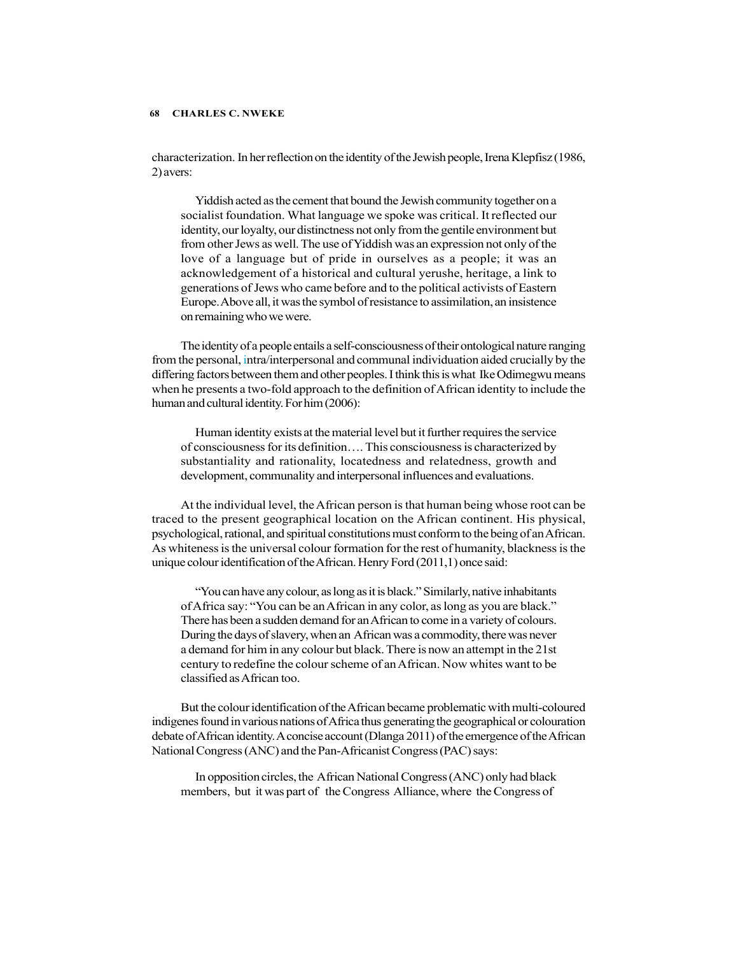characterization. In her reflection on the identity of the Jewish people, Irena Klepfisz (1986, 2) avers:

Yiddish acted as the cement that bound the Jewish community together on a socialist foundation. What language we spoke was critical. It reflected our identity, our loyalty, our distinctness not only from the gentile environment but from other Jews as well. The use of Yiddish was an expression not only of the love of a language but of pride in ourselves as a people; it was an acknowledgement of a historical and cultural yerushe, heritage, a link to generations of Jews who came before and to the political activists of Eastern Europe. Above all, it was the symbol of resistance to assimilation, an insistence on remaining who we were.

The identity of a people entails a self-consciousness of their ontological nature ranging from the personal, intra/interpersonal and communal individuation aided crucially by the differing factors between them and other peoples. I think this is what Ike Odimegwu means when he presents a two-fold approach to the definition of African identity to include the human and cultural identity. For him (2006):

Human identity exists at the material level but it further requires the service of consciousness for its definition…. This consciousness is characterized by substantiality and rationality, locatedness and relatedness, growth and development, communality and interpersonal influences and evaluations.

At the individual level, the African person is that human being whose root can be traced to the present geographical location on the African continent. His physical, psychological, rational, and spiritual constitutions must conform to the being of an African. As whiteness is the universal colour formation for the rest of humanity, blackness is the unique colour identification of the African. Henry Ford (2011,1) once said:

"You can have any colour, as long as it is black." Similarly, native inhabitants of Africa say: "You can be an African in any color, as long as you are black." There has been a sudden demand for an African to come in a variety of colours. During the days of slavery, when an African was a commodity, there was never a demand for him in any colour but black. There is now an attempt in the 21st century to redefine the colour scheme of an African. Now whites want to be classified as African too.

But the colour identification of the African became problematic with multi-coloured indigenes found in various nations of Africa thus generating the geographical or colouration debate of African identity. A concise account (Dlanga 2011) of the emergence of the African National Congress (ANC) and the Pan-Africanist Congress (PAC) says:

In opposition circles, the African National Congress (ANC) only had black members, but it was part of the Congress Alliance, where the Congress of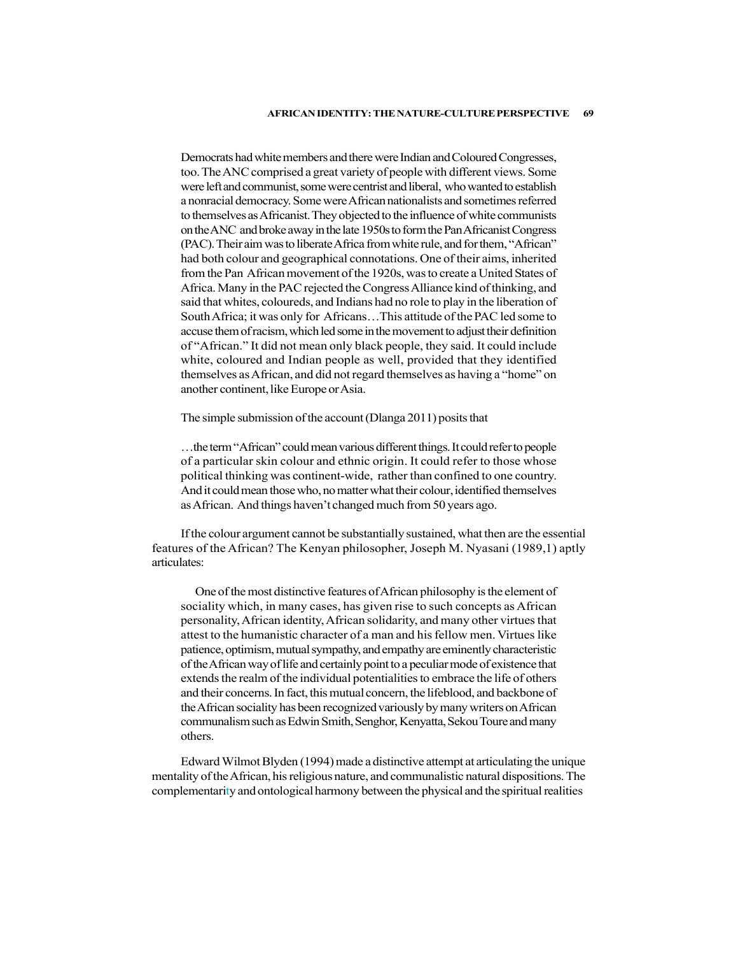Democrats had white members and there were Indian and Coloured Congresses, too. The ANC comprised a great variety of people with different views. Some were left and communist, some were centrist and liberal, who wanted to establish a nonracial democracy. Some were African nationalists and sometimes referred to themselves as Africanist. They objected to the influence of white communists on the ANC and broke away in the late 1950s to form the Pan Africanist Congress (PAC). Their aim was to liberate Africa from white rule, and for them, "African" had both colour and geographical connotations. One of their aims, inherited from the Pan African movement of the 1920s, was to create a United States of Africa. Many in the PAC rejected the Congress Alliance kind of thinking, and said that whites, coloureds, and Indians had no role to play in the liberation of South Africa; it was only for Africans…This attitude of the PAC led some to accuse them of racism, which led some in the movement to adjust their definition of "African." It did not mean only black people, they said. It could include white, coloured and Indian people as well, provided that they identified themselves as African, and did not regard themselves as having a "home" on another continent, like Europe or Asia.

The simple submission of the account (Dlanga 2011) posits that

…the term "African" could mean various different things. It could refer to people of a particular skin colour and ethnic origin. It could refer to those whose political thinking was continent-wide, rather than confined to one country. And it could mean those who, no matter what their colour, identified themselves as African. And things haven't changed much from 50 years ago.

If the colour argument cannot be substantially sustained, what then are the essential features of the African? The Kenyan philosopher, Joseph M. Nyasani (1989,1) aptly articulates:

One of the most distinctive features of African philosophy is the element of sociality which, in many cases, has given rise to such concepts as African personality, African identity, African solidarity, and many other virtues that attest to the humanistic character of a man and his fellow men. Virtues like patience, optimism, mutual sympathy, and empathy are eminently characteristic of the African way of life and certainly point to a peculiar mode of existence that extends the realm of the individual potentialities to embrace the life of others and their concerns. In fact, this mutual concern, the lifeblood, and backbone of the African sociality has been recognized variously by many writers on African communalism such as Edwin Smith, Senghor, Kenyatta, Sekou Toure and many others.

Edward Wilmot Blyden (1994) made a distinctive attempt at articulating the unique mentality of the African, his religious nature, and communalistic natural dispositions. The complementarity and ontological harmony between the physical and the spiritual realities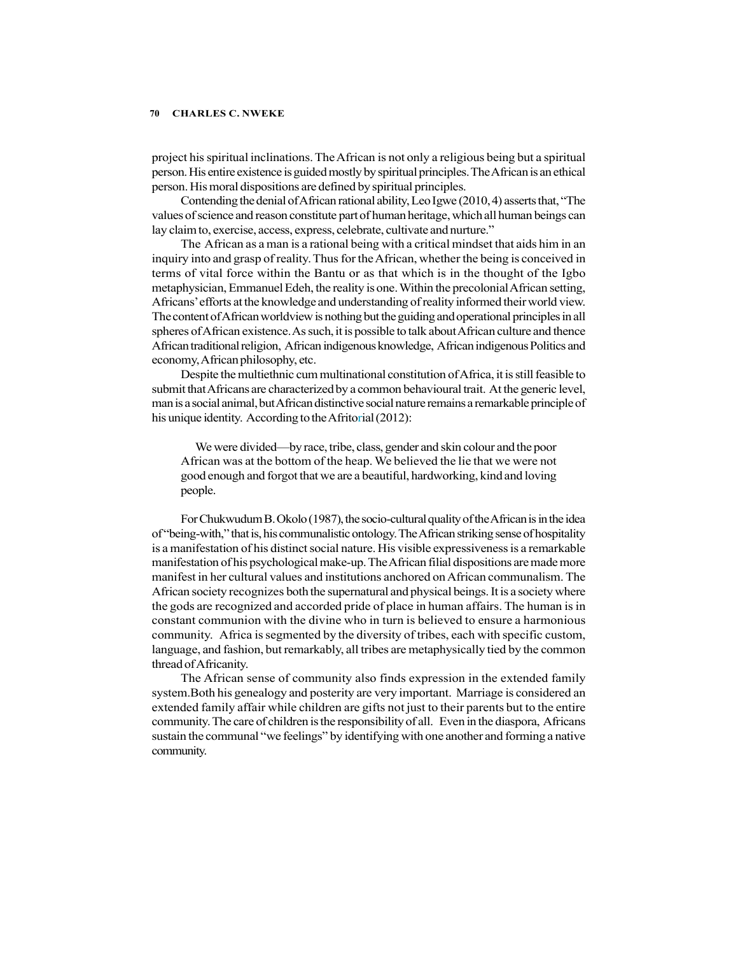project his spiritual inclinations. The African is not only a religious being but a spiritual person. His entire existence is guided mostly by spiritual principles. The African is an ethical person. His moral dispositions are defined by spiritual principles.

Contending the denial of African rational ability, Leo Igwe (2010, 4) asserts that, "The values of science and reason constitute part of human heritage, which all human beings can lay claim to, exercise, access, express, celebrate, cultivate and nurture."

The African as a man is a rational being with a critical mindset that aids him in an inquiry into and grasp of reality. Thus for the African, whether the being is conceived in terms of vital force within the Bantu or as that which is in the thought of the Igbo metaphysician, Emmanuel Edeh, the reality is one. Within the precolonial African setting, Africans' efforts at the knowledge and understanding of reality informed their world view. The content of African worldview is nothing but the guiding and operational principles in all spheres of African existence. As such, it is possible to talk about African culture and thence African traditional religion, African indigenous knowledge, African indigenous Politics and economy, African philosophy, etc.

Despite the multiethnic cum multinational constitution of Africa, it is still feasible to submit that Africans are characterized by a common behavioural trait. At the generic level, man is a social animal, but African distinctive social nature remains a remarkable principle of his unique identity. According to the Afritorial (2012):

We were divided—by race, tribe, class, gender and skin colour and the poor African was at the bottom of the heap. We believed the lie that we were not good enough and forgot that we are a beautiful, hardworking, kind and loving people.

For Chukwudum B. Okolo (1987), the socio-cultural quality of the African is in the idea of "being-with," that is, his communalistic ontology. The African striking sense of hospitality is a manifestation of his distinct social nature. His visible expressiveness is a remarkable manifestation of his psychological make-up. The African filial dispositions are made more manifest in her cultural values and institutions anchored on African communalism. The African society recognizes both the supernatural and physical beings. It is a society where the gods are recognized and accorded pride of place in human affairs. The human is in constant communion with the divine who in turn is believed to ensure a harmonious community. Africa is segmented by the diversity of tribes, each with specific custom, language, and fashion, but remarkably, all tribes are metaphysically tied by the common thread of Africanity.

The African sense of community also finds expression in the extended family system.Both his genealogy and posterity are very important. Marriage is considered an extended family affair while children are gifts not just to their parents but to the entire community. The care of children is the responsibility of all. Even in the diaspora, Africans sustain the communal "we feelings" by identifying with one another and forming a native community.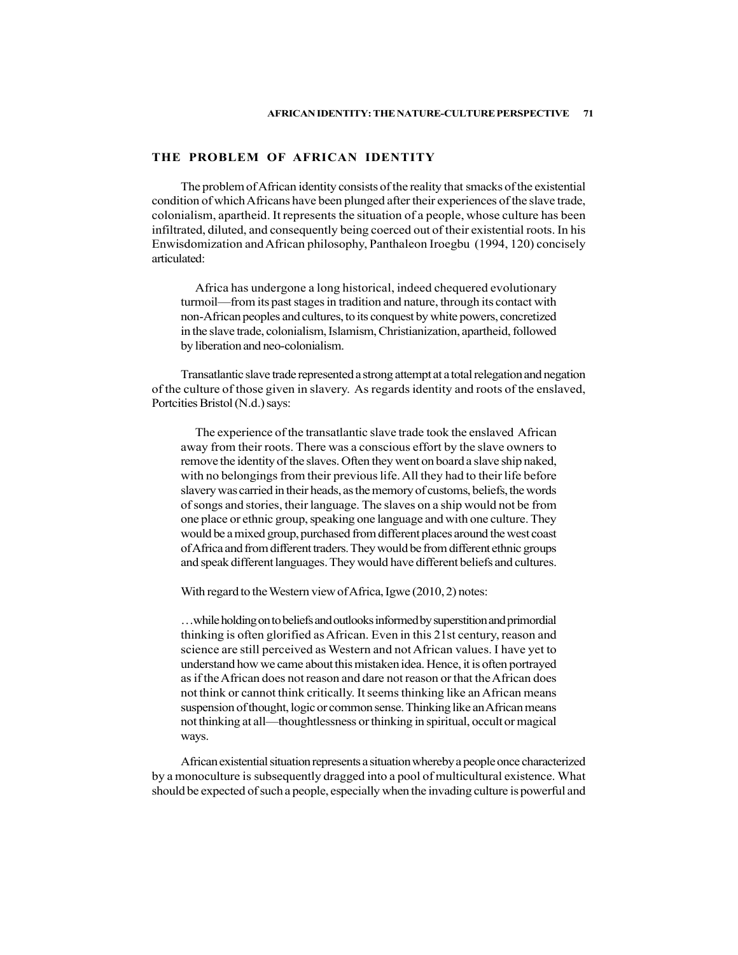# THE PROBLEM OF AFRICAN IDENTITY

The problem of African identity consists of the reality that smacks of the existential condition of which Africans have been plunged after their experiences of the slave trade, colonialism, apartheid. It represents the situation of a people, whose culture has been infiltrated, diluted, and consequently being coerced out of their existential roots. In his Enwisdomization and African philosophy, Panthaleon Iroegbu (1994, 120) concisely articulated:

Africa has undergone a long historical, indeed chequered evolutionary turmoil—from its past stages in tradition and nature, through its contact with non-African peoples and cultures, to its conquest by white powers, concretized in the slave trade, colonialism, Islamism, Christianization, apartheid, followed by liberation and neo-colonialism.

Transatlantic slave trade represented a strong attempt at a total relegation and negation of the culture of those given in slavery. As regards identity and roots of the enslaved, Portcities Bristol (N.d.) says:

The experience of the transatlantic slave trade took the enslaved African away from their roots. There was a conscious effort by the slave owners to remove the identity of the slaves. Often they went on board a slave ship naked, with no belongings from their previous life. All they had to their life before slavery was carried in their heads, as the memory of customs, beliefs, the words of songs and stories, their language. The slaves on a ship would not be from one place or ethnic group, speaking one language and with one culture. They would be a mixed group, purchased from different places around the west coast of Africa and from different traders. They would be from different ethnic groups and speak different languages. They would have different beliefs and cultures.

With regard to the Western view of Africa, Igwe (2010, 2) notes:

…while holding on to beliefs and outlooks informed by superstition and primordial thinking is often glorified as African. Even in this 21st century, reason and science are still perceived as Western and not African values. I have yet to understand how we came about this mistaken idea. Hence, it is often portrayed as if the African does not reason and dare not reason or that the African does not think or cannot think critically. It seems thinking like an African means suspension of thought, logic or common sense. Thinking like an African means not thinking at all—thoughtlessness or thinking in spiritual, occult or magical ways.

African existential situation represents a situation whereby a people once characterized by a monoculture is subsequently dragged into a pool of multicultural existence. What should be expected of such a people, especially when the invading culture is powerful and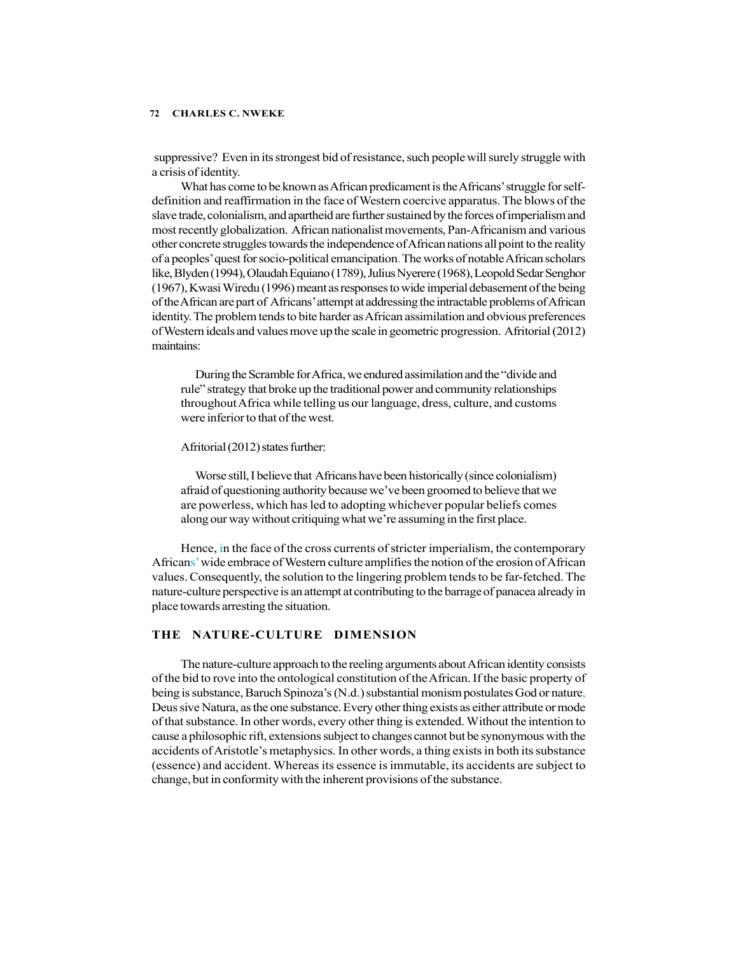suppressive? Even in its strongest bid of resistance, such people will surely struggle with a crisis of identity.

What has come to be known as African predicament is the Africans' struggle for selfdefinition and reaffirmation in the face of Western coercive apparatus. The blows of the slave trade, colonialism, and apartheid are further sustained by the forces of imperialism and most recently globalization. African nationalist movements, Pan-Africanism and various other concrete struggles towards the independence of African nations all point to the reality of a peoples' quest for socio-political emancipation. The works of notable African scholars like, Blyden (1994), Olaudah Equiano (1789), Julius Nyerere (1968), Leopold Sedar Senghor (1967), Kwasi Wiredu (1996) meant as responses to wide imperial debasement of the being of the African are part of Africans' attempt at addressing the intractable problems of African identity. The problem tends to bite harder as African assimilation and obvious preferences of Western ideals and values move up the scale in geometric progression. Afritorial (2012) maintains:

During the Scramble for Africa, we endured assimilation and the "divide and rule" strategy that broke up the traditional power and community relationships throughout Africa while telling us our language, dress, culture, and customs were inferior to that of the west.

### Afritorial (2012) states further:

Worse still, I believe that Africans have been historically (since colonialism) afraid of questioning authority because we've been groomed to believe that we are powerless, which has led to adopting whichever popular beliefs comes along our way without critiquing what we're assuming in the first place.

Hence, in the face of the cross currents of stricter imperialism, the contemporary Africans' wide embrace of Western culture amplifies the notion of the erosion of African values. Consequently, the solution to the lingering problem tends to be far-fetched. The nature-culture perspective is an attempt at contributing to the barrage of panacea already in place towards arresting the situation.

# THE NATURE-CULTURE DIMENSION

The nature-culture approach to the reeling arguments about African identity consists of the bid to rove into the ontological constitution of the African. If the basic property of being is substance, Baruch Spinoza's (N.d.) substantial monism postulates God or nature, Deus sive Natura, as the one substance. Every other thing exists as either attribute or mode of that substance. In other words, every other thing is extended. Without the intention to cause a philosophic rift, extensions subject to changes cannot but be synonymous with the accidents of Aristotle's metaphysics. In other words, a thing exists in both its substance (essence) and accident. Whereas its essence is immutable, its accidents are subject to change, but in conformity with the inherent provisions of the substance.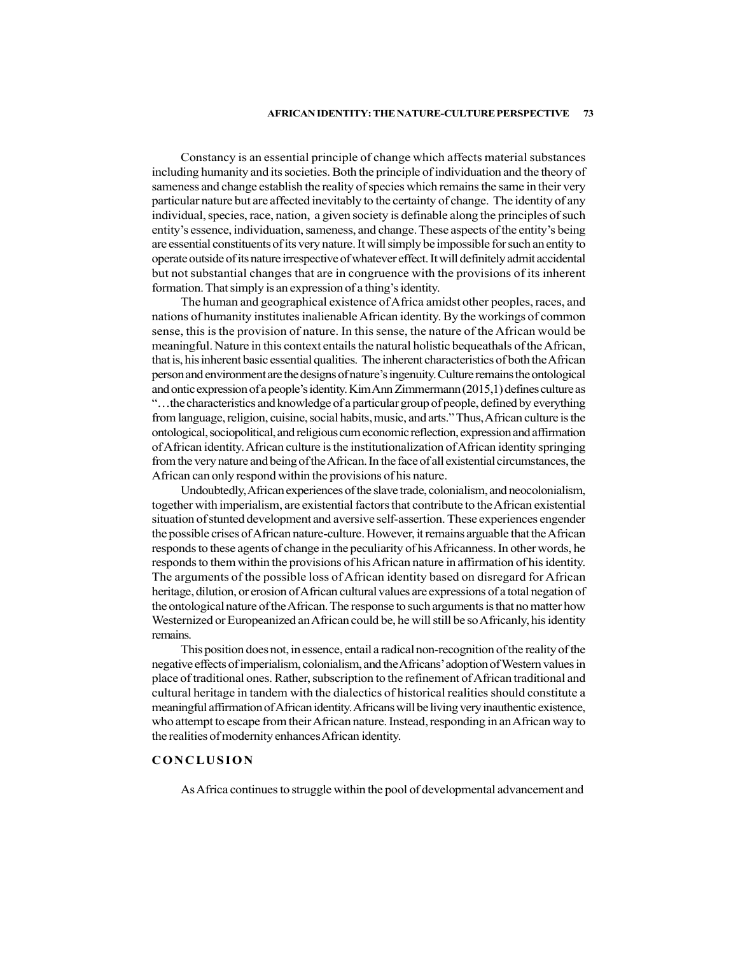Constancy is an essential principle of change which affects material substances including humanity and its societies. Both the principle of individuation and the theory of sameness and change establish the reality of species which remains the same in their very particular nature but are affected inevitably to the certainty of change. The identity of any individual, species, race, nation, a given society is definable along the principles of such entity's essence, individuation, sameness, and change. These aspects of the entity's being are essential constituents of its very nature. It will simply be impossible for such an entity to operate outside of its nature irrespective of whatever effect. It will definitely admit accidental but not substantial changes that are in congruence with the provisions of its inherent formation. That simply is an expression of a thing's identity.

The human and geographical existence of Africa amidst other peoples, races, and nations of humanity institutes inalienable African identity. By the workings of common sense, this is the provision of nature. In this sense, the nature of the African would be meaningful. Nature in this context entails the natural holistic bequeathals of the African, that is, his inherent basic essential qualities. The inherent characteristics of both the African person and environment are the designs of nature's ingenuity. Culture remains the ontological and ontic expression of a people's identity. Kim Ann Zimmermann (2015,1) defines culture as "…the characteristics and knowledge of a particular group of people, defined by everything from language, religion, cuisine, social habits, music, and arts." Thus, African culture is the ontological, sociopolitical, and religious cum economic reflection, expression and affirmation of African identity. African culture is the institutionalization of African identity springing from the very nature and being of the African. In the face of all existential circumstances, the African can only respond within the provisions of his nature.

Undoubtedly, African experiences of the slave trade, colonialism, and neocolonialism, together with imperialism, are existential factors that contribute to the African existential situation of stunted development and aversive self-assertion. These experiences engender the possible crises of African nature-culture. However, it remains arguable that the African responds to these agents of change in the peculiarity of his Africanness. In other words, he responds to them within the provisions of his African nature in affirmation of his identity. The arguments of the possible loss of African identity based on disregard for African heritage, dilution, or erosion of African cultural values are expressions of a total negation of the ontological nature of the African. The response to such arguments is that no matter how Westernized or Europeanized an African could be, he will still be so Africanly, his identity remains. of Articular diatenty Antical cuality and the initial conditions and the most of form the very nature and being of the African. In the face of all existential circumstances, the African can only respond within the provisio

This position does not, in essence, entail a radical non-recognition of the reality of the negative effects of imperialism, colonialism, and the Africans' adoption of Western values in place of traditional ones. Rather, subscription to the refinement of African traditional and cultural heritage in tandem with the dialectics of historical realities should constitute a meaningful affirmation of African identity. Africans will be living very inauthentic existence, who attempt to escape from their African nature. Instead, responding in an African way to the realities of modernity enhances African identity.

As Africa continues to struggle within the pool of developmental advancement and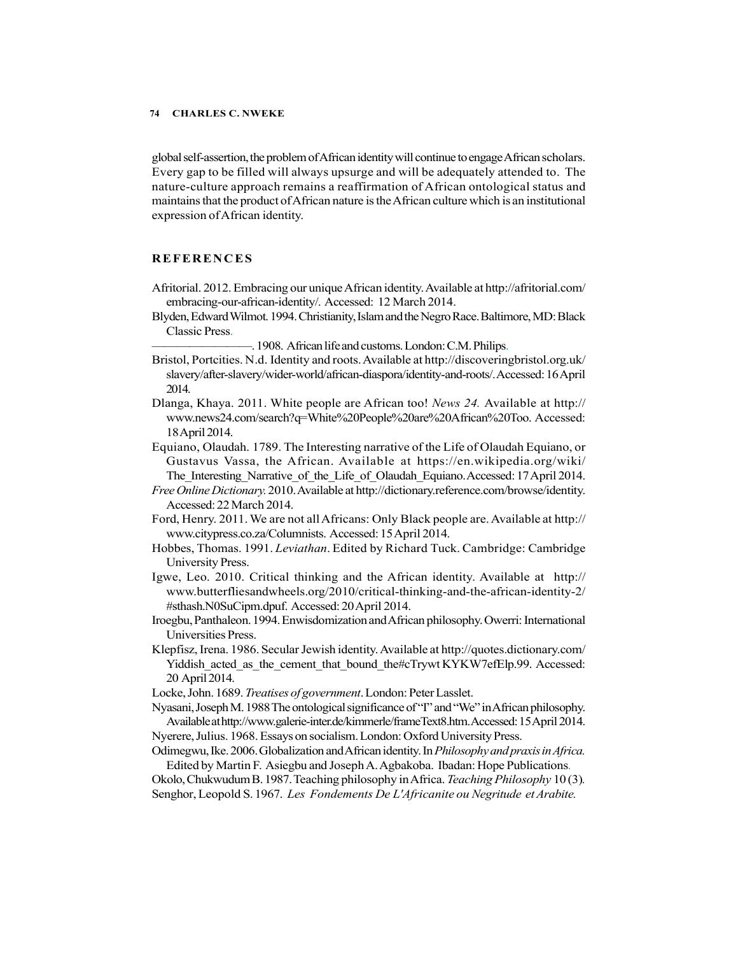global self-assertion, the problem of African identity will continue to engage African scholars. Every gap to be filled will always upsurge and will be adequately attended to. The nature-culture approach remains a reaffirmation of African ontological status and maintains that the product of African nature is the African culture which is an institutional expression of African identity. CHARLES C. NWEKE<br>
global self-assertion, the problem of African identity will continue to engage African scholars.<br>
Every gap to be filled will always uspaire and will be adequately attended to. The<br>
nature-culture approac

- Afritorial. 2012. Embracing our unique African identity. Available at http://afritorial.com/ embracing-our-african-identity/. Accessed: 12 March 2014.
- Blyden, Edward Wilmot. 1994. Christianity, Islam and the Negro Race. Baltimore, MD: Black Classic Press.
	- ————————. 1908. African life and customs. London: C.M. Philips.
- Bristol, Portcities. N.d. Identity and roots. Available at http://discoveringbristol.org.uk/ slavery/after-slavery/wider-world/african-diaspora/identity-and-roots/. Accessed: 16 April 2014.
- Dlanga, Khaya. 2011. White people are African too! News 24. Available at http:// www.news24.com/search?q=White%20People%20are%20African%20Too. Accessed: 18 April 2014.
- Equiano, Olaudah. 1789. The Interesting narrative of the Life of Olaudah Equiano, or Gustavus Vassa, the African. Available at https://en.wikipedia.org/wiki/ The Interesting Narrative of the Life of Olaudah Equiano. Accessed: 17 April 2014.
- Free Online Dictionary. 2010. Available at http://dictionary.reference.com/browse/identity. Accessed: 22 March 2014.
- Ford, Henry. 2011. We are not all Africans: Only Black people are. Available at http:// www.citypress.co.za/Columnists. Accessed: 15 April 2014.
- Hobbes, Thomas. 1991. Leviathan. Edited by Richard Tuck. Cambridge: Cambridge University Press.
- Igwe, Leo. 2010. Critical thinking and the African identity. Available at http:// www.butterfliesandwheels.org/2010/critical-thinking-and-the-african-identity-2/ #sthash.N0SuCipm.dpuf. Accessed: 20 April 2014.
- Iroegbu, Panthaleon. 1994. Enwisdomization and African philosophy. Owerri: International Universities Press.
- Klepfisz, Irena. 1986. Secular Jewish identity. Available at http://quotes.dictionary.com/ Yiddish acted as the cement that bound the#cTrywt KYKW7efElp.99. Accessed: 20 April 2014.
- Locke, John. 1689. Treatises of government. London: Peter Lasslet.

Nyasani, Joseph M. 1988 The ontological significance of "I" and "We" in African philosophy. Available at http://www.galerie-inter.de/kimmerle/frameText8.htm. Accessed: 15 April 2014.

- Nyerere, Julius. 1968. Essays on socialism. London: Oxford University Press.
- Odimegwu, Ike. 2006. Globalization and African identity. In Philosophy and praxis in Africa. Edited by Martin F. Asiegbu and Joseph A. Agbakoba. Ibadan: Hope Publications.

Okolo, Chukwudum B. 1987. Teaching philosophy in Africa. Teaching Philosophy 10 (3). Senghor, Leopold S. 1967. Les Fondements De L'Africanite ou Negritude et Arabite.